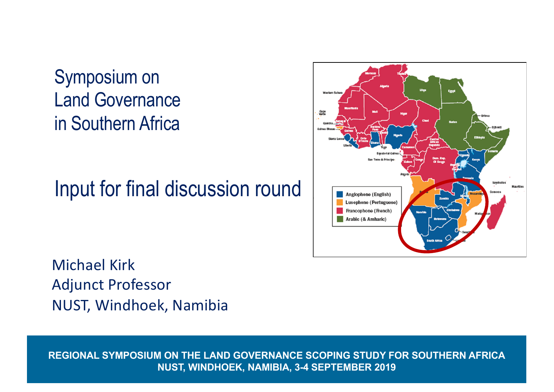Symposium on Land Governance in Southern Africa

Input for final discussion round



Michael Kirk Adjunct Professor NUST, Windhoek, Namibia

**REGIONAL SYMPOSIUM ON THE LAND GOVERNANCE SCOPING STUDY FOR SOUTHERN AFRICA NUST, WINDHOEK, NAMIBIA, 3-4 SEPTEMBER 2019**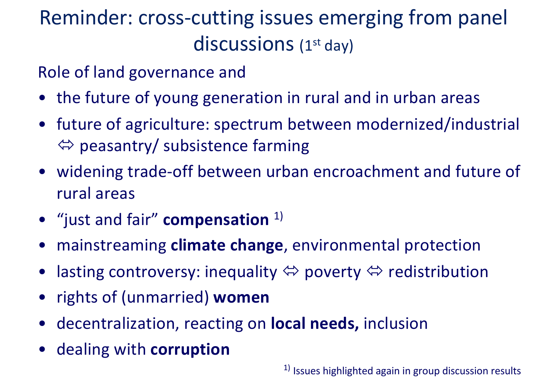## Reminder: cross-cutting issues emerging from panel discussions (1<sup>st</sup> day)

Role of land governance and

- the future of young generation in rural and in urban areas
- future of agriculture: spectrum between modernized/industrial  $\Leftrightarrow$  peasantry/ subsistence farming
- widening trade-off between urban encroachment and future of rural areas
- "just and fair" **compensation** 1)
- mainstreaming **climate change**, environmental protection
- lasting controversy: inequality  $\Leftrightarrow$  poverty  $\Leftrightarrow$  redistribution
- rights of (unmarried) **women**
- decentralization, reacting on **local needs,** inclusion
- dealing with **corruption**

 $1)$  Issues highlighted again in group discussion results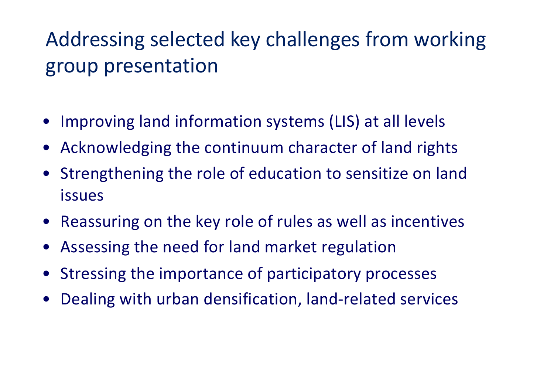## Addressing selected key challenges from working group presentation

- Improving land information systems (LIS) at all levels
- Acknowledging the continuum character of land rights
- Strengthening the role of education to sensitize on land issues
- Reassuring on the key role of rules as well as incentives
- Assessing the need for land market regulation
- Stressing the importance of participatory processes
- Dealing with urban densification, land-related services